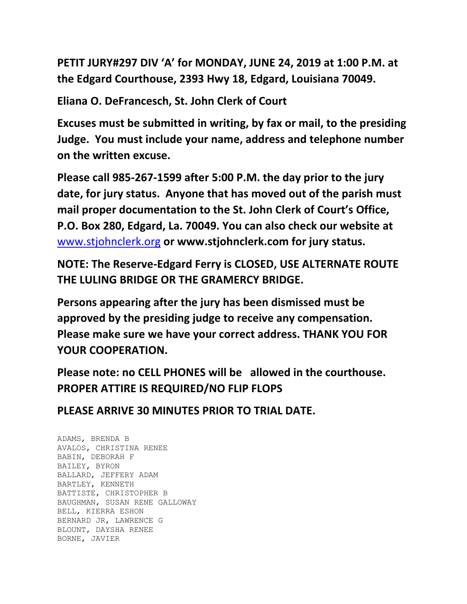**PETIT JURY#297 DIV 'A' for MONDAY, JUNE 24, 2019 at 1:00 P.M. at the Edgard Courthouse, 2393 Hwy 18, Edgard, Louisiana 70049.**

**Eliana O. DeFrancesch, St. John Clerk of Court**

**Excuses must be submitted in writing, by fax or mail, to the presiding Judge. You must include your name, address and telephone number on the written excuse.**

**Please call 985-267-1599 after 5:00 P.M. the day prior to the jury date, for jury status. Anyone that has moved out of the parish must mail proper documentation to the St. John Clerk of Court's Office, P.O. Box 280, Edgard, La. 70049. You can also check our website at**  [www.stjohnclerk.org](http://www.stjohnclerk.org/) **or www.stjohnclerk.com for jury status.**

**NOTE: The Reserve-Edgard Ferry is CLOSED, USE ALTERNATE ROUTE THE LULING BRIDGE OR THE GRAMERCY BRIDGE.**

**Persons appearing after the jury has been dismissed must be approved by the presiding judge to receive any compensation. Please make sure we have your correct address. THANK YOU FOR YOUR COOPERATION.**

**Please note: no CELL PHONES will be allowed in the courthouse. PROPER ATTIRE IS REQUIRED/NO FLIP FLOPS**

**PLEASE ARRIVE 30 MINUTES PRIOR TO TRIAL DATE.**

ADAMS, BRENDA B AVALOS, CHRISTINA RENEE BABIN, DEBORAH F BAILEY, BYRON BALLARD, JEFFERY ADAM BARTLEY, KENNETH BATTISTE, CHRISTOPHER B BAUGHMAN, SUSAN RENE GALLOWAY BELL, KIERRA ESHON BERNARD JR, LAWRENCE G BLOUNT, DAYSHA RENEE BORNE, JAVIER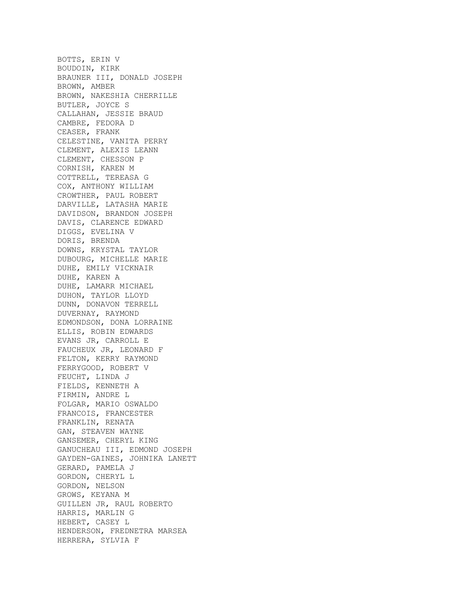BOTTS, ERIN V BOUDOIN, KIRK BRAUNER III, DONALD JOSEPH BROWN, AMBER BROWN, NAKESHIA CHERRILLE BUTLER, JOYCE S CALLAHAN, JESSIE BRAUD CAMBRE, FEDORA D CEASER, FRANK CELESTINE, VANITA PERRY CLEMENT, ALEXIS LEANN CLEMENT, CHESSON P CORNISH, KAREN M COTTRELL, TEREASA G COX, ANTHONY WILLIAM CROWTHER, PAUL ROBERT DARVILLE, LATASHA MARIE DAVIDSON, BRANDON JOSEPH DAVIS, CLARENCE EDWARD DIGGS, EVELINA V DORIS, BRENDA DOWNS, KRYSTAL TAYLOR DUBOURG, MICHELLE MARIE DUHE, EMILY VICKNAIR DUHE, KAREN A DUHE, LAMARR MICHAEL DUHON, TAYLOR LLOYD DUNN, DONAVON TERRELL DUVERNAY, RAYMOND EDMONDSON, DONA LORRAINE ELLIS, ROBIN EDWARDS EVANS JR, CARROLL E FAUCHEUX JR, LEONARD F FELTON, KERRY RAYMOND FERRYGOOD, ROBERT V FEUCHT, LINDA J FIELDS, KENNETH A FIRMIN, ANDRE L FOLGAR, MARIO OSWALDO FRANCOIS, FRANCESTER FRANKLIN, RENATA GAN, STEAVEN WAYNE GANSEMER, CHERYL KING GANUCHEAU III, EDMOND JOSEPH GAYDEN-GAINES, JOHNIKA LANETT GERARD, PAMELA J GORDON, CHERYL L GORDON, NELSON GROWS, KEYANA M GUILLEN JR, RAUL ROBERTO HARRIS, MARLIN G HEBERT, CASEY L HENDERSON, FREDNETRA MARSEA HERRERA, SYLVIA F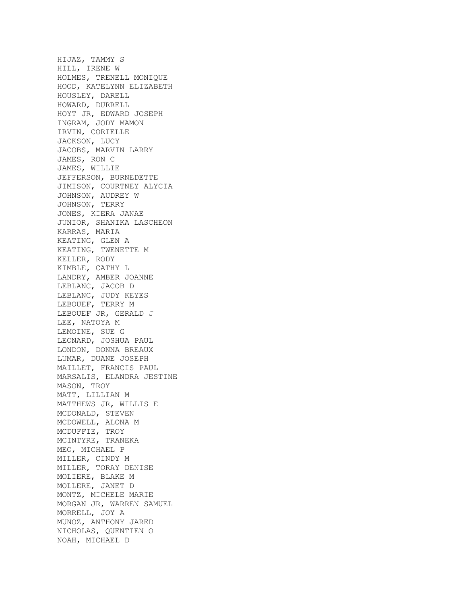HIJAZ, TAMMY S HILL, IRENE W HOLMES, TRENELL MONIQUE HOOD, KATELYNN ELIZABETH HOUSLEY, DARELL HOWARD, DURRELL HOYT JR, EDWARD JOSEPH INGRAM, JODY MAMON IRVIN, CORIELLE JACKSON, LUCY JACOBS, MARVIN LARRY JAMES, RON C JAMES, WILLIE JEFFERSON, BURNEDETTE JIMISON, COURTNEY ALYCIA JOHNSON, AUDREY W JOHNSON, TERRY JONES, KIERA JANAE JUNIOR, SHANIKA LASCHEON KARRAS, MARIA KEATING, GLEN A KEATING, TWENETTE M KELLER, RODY KIMBLE, CATHY L LANDRY, AMBER JOANNE LEBLANC, JACOB D LEBLANC, JUDY KEYES LEBOUEF, TERRY M LEBOUEF JR, GERALD J LEE, NATOYA M LEMOINE, SUE G LEONARD, JOSHUA PAUL LONDON, DONNA BREAUX LUMAR, DUANE JOSEPH MAILLET, FRANCIS PAUL MARSALIS, ELANDRA JESTINE MASON, TROY MATT, LILLIAN M MATTHEWS JR, WILLIS E MCDONALD, STEVEN MCDOWELL, ALONA M MCDUFFIE, TROY MCINTYRE, TRANEKA MEO, MICHAEL P MILLER, CINDY M MILLER, TORAY DENISE MOLIERE, BLAKE M MOLLERE, JANET D MONTZ, MICHELE MARIE MORGAN JR, WARREN SAMUEL MORRELL, JOY A MUNOZ, ANTHONY JARED NICHOLAS, QUENTIEN O NOAH, MICHAEL D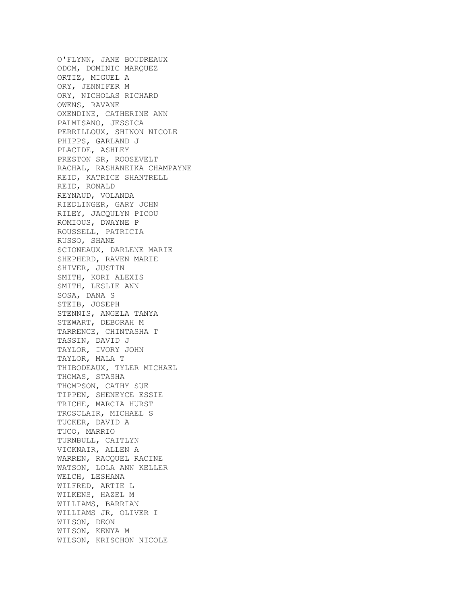O'FLYNN, JANE BOUDREAUX ODOM, DOMINIC MARQUEZ ORTIZ, MIGUEL A ORY, JENNIFER M ORY, NICHOLAS RICHARD OWENS, RAVANE OXENDINE, CATHERINE ANN PALMISANO, JESSICA PERRILLOUX, SHINON NICOLE PHIPPS, GARLAND J PLACIDE, ASHLEY PRESTON SR, ROOSEVELT RACHAL, RASHANEIKA CHAMPAYNE REID, KATRICE SHANTRELL REID, RONALD REYNAUD, VOLANDA RIEDLINGER, GARY JOHN RILEY, JACQULYN PICOU ROMIOUS, DWAYNE P ROUSSELL, PATRICIA RUSSO, SHANE SCIONEAUX, DARLENE MARIE SHEPHERD, RAVEN MARIE SHIVER, JUSTIN SMITH, KORI ALEXIS SMITH, LESLIE ANN SOSA, DANA S STEIB, JOSEPH STENNIS, ANGELA TANYA STEWART, DEBORAH M TARRENCE, CHINTASHA T TASSIN, DAVID J TAYLOR, IVORY JOHN TAYLOR, MALA T THIBODEAUX, TYLER MICHAEL THOMAS, STASHA THOMPSON, CATHY SUE TIPPEN, SHENEYCE ESSIE TRICHE, MARCIA HURST TROSCLAIR, MICHAEL S TUCKER, DAVID A TUCO, MARRIO TURNBULL, CAITLYN VICKNAIR, ALLEN A WARREN, RACQUEL RACINE WATSON, LOLA ANN KELLER WELCH, LESHANA WILFRED, ARTIE L WILKENS, HAZEL M WILLIAMS, BARRIAN WILLIAMS JR, OLIVER I WILSON, DEON WILSON, KENYA M WILSON, KRISCHON NICOLE